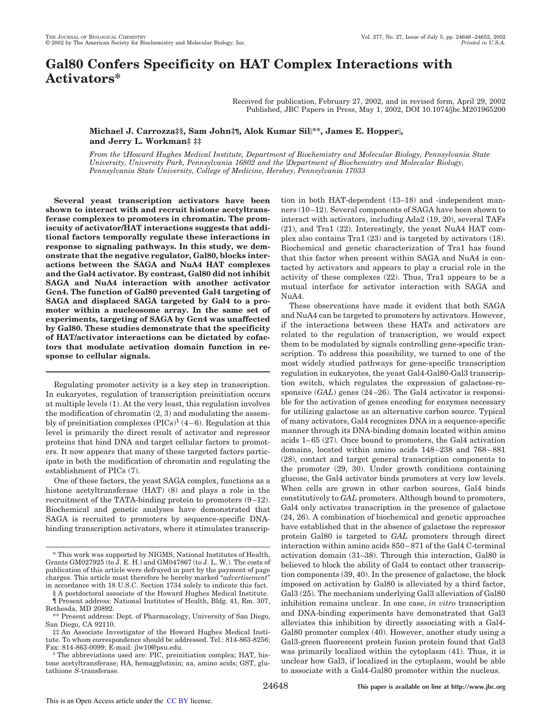# **Gal80 Confers Specificity on HAT Complex Interactions with Activators\***

Received for publication, February 27, 2002, and in revised form, April 29, 2002 Published, JBC Papers in Press, May 1, 2002, DOI 10.1074/jbc.M201965200

## **Michael J. Carrozza‡§, Sam John‡¶, Alok Kumar Sil\*\*, James E. Hopper, and Jerry L. Workman‡ ‡‡**

*From the* ‡*Howard Hughes Medical Institute, Department of Biochemistry and Molecular Biology, Pennsylvania State University, University Park, Pennsylvania 16802 and the Department of Biochemistry and Molecular Biology, Pennsylvania State University, College of Medicine, Hershey, Pennsylvania 17033*

**Several yeast transcription activators have been shown to interact with and recruit histone acetyltransferase complexes to promoters in chromatin. The promiscuity of activator/HAT interactions suggests that additional factors temporally regulate these interactions in response to signaling pathways. In this study, we demonstrate that the negative regulator, Gal80, blocks interactions between the SAGA and NuA4 HAT complexes and the Gal4 activator. By contrast, Gal80 did not inhibit SAGA and NuA4 interaction with another activator Gcn4. The function of Gal80 prevented Gal4 targeting of SAGA and displaced SAGA targeted by Gal4 to a promoter within a nucleosome array. In the same set of experiments, targeting of SAGA by Gcn4 was unaffected by Gal80. These studies demonstrate that the specificity of HAT/activator interactions can be dictated by cofactors that modulate activation domain function in response to cellular signals.**

Regulating promoter activity is a key step in transcription. In eukaryotes, regulation of transcription preinitiation occurs at multiple levels (1). At the very least, this regulation involves the modification of chromatin (2, 3) and modulating the assembly of preinitiation complexes  $(PICs)^1 (4-6)$ . Regulation at this level is primarily the direct result of activator and repressor proteins that bind DNA and target cellular factors to promoters. It now appears that many of these targeted factors participate in both the modification of chromatin and regulating the establishment of PICs (7).

One of these factors, the yeast SAGA complex, functions as a histone acetyltransferase (HAT) (8) and plays a role in the recruitment of the TATA-binding protein to promoters (9–12). Biochemical and genetic analyses have demonstrated that SAGA is recruited to promoters by sequence-specific DNAbinding transcription activators, where it stimulates transcrip-

§ A postdoctoral associate of the Howard Hughes Medical Institute. ¶ Present address: National Institutes of Health, Bldg. 41, Rm. 307, Bethesda, MD 20892.

tion in both HAT-dependent (13–18) and -independent manners (10–12). Several components of SAGA have been shown to interact with activators, including Ada2 (19, 20), several TAFs (21), and Tra1 (22). Interestingly, the yeast NuA4 HAT complex also contains Tra1 (23) and is targeted by activators (18). Biochemical and genetic characterization of Tra1 has found that this factor when present within SAGA and NuA4 is contacted by activators and appears to play a crucial role in the activity of these complexes (22). Thus, Tra1 appears to be a mutual interface for activator interaction with SAGA and NuA4.

These observations have made it evident that both SAGA and NuA4 can be targeted to promoters by activators. However, if the interactions between these HATs and activators are related to the regulation of transcription, we would expect them to be modulated by signals controlling gene-specific transcription. To address this possibility, we turned to one of the most widely studied pathways for gene-specific transcription regulation in eukaryotes, the yeast Gal4-Gal80-Gal3 transcription switch, which regulates the expression of galactose-responsive (*GAL*) genes (24–26). The Gal4 activator is responsible for the activation of genes encoding for enzymes necessary for utilizing galactose as an alternative carbon source. Typical of many activators, Gal4 recognizes DNA in a sequence-specific manner through its DNA-binding domain located within amino acids 1–65 (27). Once bound to promoters, the Gal4 activation domains, located within amino acids 148–238 and 768–881 (28), contact and target general transcription components to the promoter (29, 30). Under growth conditions containing glucose, the Gal4 activator binds promoters at very low levels. When cells are grown in other carbon sources, Gal4 binds constitutively to *GAL* promoters. Although bound to promoters, Gal4 only activates transcription in the presence of galactose (24, 26). A combination of biochemical and genetic approaches have established that in the absence of galactose the repressor protein Gal80 is targeted to *GAL* promoters through direct interaction within amino acids 850–871 of the Gal4 C-terminal activation domain (31–38). Through this interaction, Gal80 is believed to block the ability of Gal4 to contact other transcription components (39, 40). In the presence of galactose, the block imposed on activation by Gal80 is alleviated by a third factor, Gal3 (25). The mechanism underlying Gal3 alleviation of Gal80 inhibition remains unclear. In one case, *in vitro* transcription and DNA-binding experiments have demonstrated that Gal3 alleviates this inhibition by directly associating with a Gal4- Gal80 promoter complex (40). However, another study using a Gal3-green fluorescent protein fusion protein found that Gal3 was primarily localized within the cytoplasm (41). Thus, it is unclear how Gal3, if localized in the cytoplasm, would be able to associate with a Gal4-Gal80 promoter within the nucleus.

<sup>\*</sup> This work was supported by NIGMS, National Institutes of Health, Grants GM027925 (to J. E. H.) and GM047867 (to J. L. W.). The costs of publication of this article were defrayed in part by the payment of page charges. This article must therefore be hereby marked "*advertisement*" in accordance with 18 U.S.C. Section 1734 solely to indicate this fact.

<sup>\*\*</sup> Present address: Dept. of Pharmacology, University of San Diego, San Diego, CA 92110.

<sup>‡‡</sup> An Associate Investigator of the Howard Hughes Medical Institute. To whom correspondence should be addressed. Tel.: 814-863-8256; Fax: 814-863-0099; E-mail: jlw10@psu.edu.

The abbreviations used are: PIC, preinitiation complex; HAT, histone acetyltransferase; HA, hemagglutinin; aa, amino acids; GST, glutathione *S*-transferase.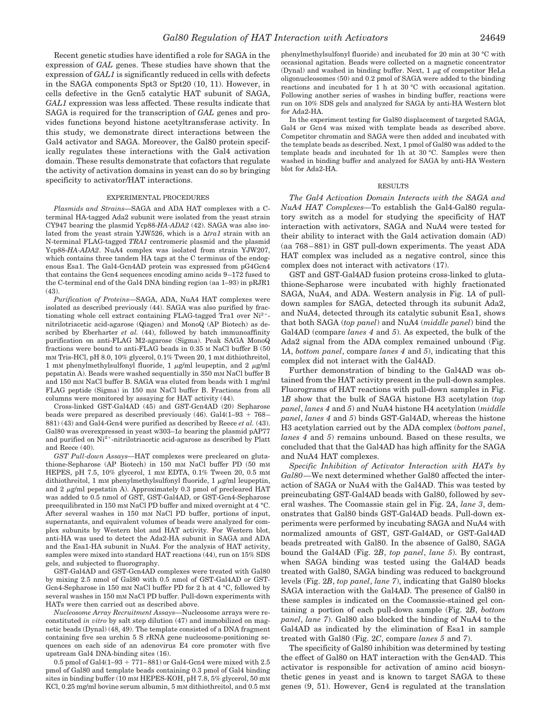Recent genetic studies have identified a role for SAGA in the expression of *GAL* genes. These studies have shown that the expression of *GAL1* is significantly reduced in cells with defects in the SAGA components Spt3 or Spt20 (10, 11). However, in cells defective in the Gcn5 catalytic HAT subunit of SAGA, *GAL1* expression was less affected. These results indicate that SAGA is required for the transcription of *GAL* genes and provides functions beyond histone acetyltransferase activity. In this study, we demonstrate direct interactions between the Gal4 activator and SAGA. Moreover, the Gal80 protein specifically regulates these interactions with the Gal4 activation domain. These results demonstrate that cofactors that regulate the activity of activation domains in yeast can do so by bringing specificity to activator/HAT interactions.

### EXPERIMENTAL PROCEDURES

*Plasmids and Strains—*SAGA and ADA HAT complexes with a Cterminal HA-tagged Ada2 subunit were isolated from the yeast strain CY947 bearing the plasmid Ycp88-*HA-ADA2* (42). SAGA was also isolated from the yeast strain YJW526, which is a  $\Delta tra1$  strain with an N-terminal FLAG-tagged *TRA1* centromeric plasmid and the plasmid Ycp88-*HA-ADA2*. NuA4 complex was isolated from strain YJW207, which contains three tandem HA tags at the C terminus of the endogenous Esa1. The Gal4-Gcn4AD protein was expressed from pG4Gcn4 that contains the Gcn4 sequences encoding amino acids 9–172 fused to the C-terminal end of the Gal4 DNA binding region (aa 1–93) in pRJR1  $(43)$ 

*Purification of Proteins—*SAGA, ADA, NuA4 HAT complexes were isolated as described previously (44). SAGA was also purified by fractionating whole cell extract containing FLAG-tagged Tra1 over Ni<sup>2+</sup>nitrilotriacetic acid-agarose (Qiagen) and MonoQ (AP Biotech) as described by Eberharter *et al.* (44), followed by batch immunoaffinity purification on anti-FLAG M2-agarose (Sigma). Peak SAGA MonoQ fractions were bound to anti-FLAG beads in 0.35 M NaCl buffer B (50 mM Tris-HCl, pH 8.0, 10% glycerol, 0.1% Tween 20, 1 mM dithiothreitol, 1 mM phenylmethylsulfonyl fluoride, 1  $\mu$ g/ml leupeptin, and 2  $\mu$ g/ml pepstatin A). Beads were washed sequentially in 350 mM NaCl buffer B and 150 mM NaCl buffer B. SAGA was eluted from beads with 1 mg/ml FLAG peptide (Sigma) in 150 mM NaCl buffer B. Fractions from all columns were monitored by assaying for HAT activity (44).

Cross-linked GST-Gal4AD (45) and GST-Gcn4AD (20) Sepharose beads were prepared as described previously  $(46)$ . Gal $4(1-93 + 768-$ 881) (43) and Gal4-Gcn4 were purified as described by Reece *et al.* (43). Gal80 was overexpressed in yeast w303–1*a* bearing the plasmid pAP77 and purified on  $Ni^{2+}$ -nitrilotriacetic acid-agarose as described by Platt and Reece (40).

*GST Pull-down Assays—*HAT complexes were precleared on glutathione-Sepharose (AP Biotech) in 150 mM NaCl buffer PD (50 mM HEPES, pH 7.5, 10% glycerol, 1 mm EDTA, 0.1% Tween 20, 0.5 mm dithiothreitol, 1 mM phenylmethylsulfonyl fluoride, 1  $\mu$ g/ml leupeptin, and 2  $\mu$ g/ml pepstatin A). Approximately 0.3 pmol of precleared HAT was added to 0.5 nmol of GST, GST-Gal4AD, or GST-Gcn4-Sepharose preequilibrated in 150 mM NaCl PD buffer and mixed overnight at 4 °C. After several washes in 150 mM NaCl PD buffer, portions of input, supernatants, and equivalent volumes of beads were analyzed for complex subunits by Western blot and HAT activity. For Western blot, anti-HA was used to detect the Ada2-HA subunit in SAGA and ADA and the Esa1-HA subunit in NuA4. For the analysis of HAT activity, samples were mixed into standard HAT reactions (44), run on 15% SDS gels, and subjected to fluorography.

GST-Gal4AD and GST-Gcn4AD complexes were treated with Gal80 by mixing 2.5 nmol of Gal80 with 0.5 nmol of GST-Gal4AD or GST-Gcn4-Sepharose in 150 mm NaCl buffer PD for 2 h at 4 °C, followed by several washes in 150 mM NaCl PD buffer. Pull-down experiments with HATs were then carried out as described above.

*Nucleosome Array Recruitment Assays—*Nucleosome arrays were reconstituted *in vitro* by salt step dilution (47) and immobilized on magnetic beads (Dynal) (48, 49). The template consisted of a DNA fragment containing five sea urchin 5 S rRNA gene nucleosome-positioning sequences on each side of an adenovirus E4 core promoter with five upstream Gal4 DNA-binding sites (16).

0.5 pmol of Gal $4(1-93 + 771-881)$  or Gal $4$ -Gcn $4$  were mixed with 2.5 pmol of Gal80 and template beads containing 0.3 pmol of Gal4 binding sites in binding buffer (10 mm HEPES-KOH, pH 7.8, 5% glycerol, 50 mm KCl, 0.25 mg/ml bovine serum albumin, 5 mM dithiothreitol, and 0.5 mM phenylmethylsulfonyl fluoride) and incubated for 20 min at 30 °C with occasional agitation. Beads were collected on a magnetic concentrator (Dynal) and washed in binding buffer. Next,  $1 \mu$ g of competitor HeLa oligonucleosomes (50) and 0.2 pmol of SAGA were added to the binding reactions and incubated for 1 h at 30 °C with occasional agitation. Following another series of washes in binding buffer, reactions were run on 10% SDS gels and analyzed for SAGA by anti-HA Western blot for Ada2-HA.

In the experiment testing for Gal80 displacement of targeted SAGA, Gal4 or Gcn4 was mixed with template beads as described above. Competitor chromatin and SAGA were then added and incubated with the template beads as described. Next, 1 pmol of Gal80 was added to the template beads and incubated for 1h at 30 °C. Samples were then washed in binding buffer and analyzed for SAGA by anti-HA Western blot for Ada2-HA.

#### RESULTS

*The Gal4 Activation Domain Interacts with the SAGA and NuA4 HAT Complexes—*To establish the Gal4-Gal80 regulatory switch as a model for studying the specificity of HAT interaction with activators, SAGA and NuA4 were tested for their ability to interact with the Gal4 activation domain (AD) (aa 768–881) in GST pull-down experiments. The yeast ADA HAT complex was included as a negative control, since this complex does not interact with activators (17).

GST and GST-Gal4AD fusion proteins cross-linked to glutathione-Sepharose were incubated with highly fractionated SAGA, NuA4, and ADA. Western analysis in Fig. 1*A* of pulldown samples for SAGA, detected through its subunit Ada2, and NuA4, detected through its catalytic subunit Esa1, shows that both SAGA (*top panel*) and NuA4 (*middle panel*) bind the Gal4AD (compare *lanes 4* and *5*). As expected, the bulk of the Ada2 signal from the ADA complex remained unbound (Fig. 1*A*, *bottom panel*, compare *lanes 4* and *5*), indicating that this complex did not interact with the Gal4AD.

Further demonstration of binding to the Gal4AD was obtained from the HAT activity present in the pull-down samples. Fluorograms of HAT reactions with pull-down samples in Fig. 1*B* show that the bulk of SAGA histone H3 acetylation (*top panel*, *lanes 4* and *5*) and NuA4 histone H4 acetylation (*middle panel*, *lanes 4* and *5*) binds GST-Gal4AD, whereas the histone H3 acetylation carried out by the ADA complex (*bottom panel*, *lanes 4* and *5*) remains unbound. Based on these results, we concluded that that the Gal4AD has high affinity for the SAGA and NuA4 HAT complexes.

*Specific Inhibition of Activator Interaction with HATs by Gal80—*We next determined whether Gal80 affected the interaction of SAGA or NuA4 with the Gal4AD. This was tested by preincubating GST-Gal4AD beads with Gal80, followed by several washes. The Coomassie stain gel in Fig. 2*A*, *lane 3*, demonstrates that Gal80 binds GST-Gal4AD beads. Pull-down experiments were performed by incubating SAGA and NuA4 with normalized amounts of GST, GST-Gal4AD, or GST-Gal4AD beads pretreated with Gal80. In the absence of Gal80, SAGA bound the Gal4AD (Fig. 2*B*, *top panel*, *lane 5*). By contrast, when SAGA binding was tested using the Gal4AD beads treated with Gal80, SAGA binding was reduced to background levels (Fig. 2*B*, *top panel*, *lane 7*), indicating that Gal80 blocks SAGA interaction with the Gal4AD. The presence of Gal80 in these samples is indicated on the Coomassie-stained gel containing a portion of each pull-down sample (Fig. 2*B*, *bottom panel*, *lane 7*). Gal80 also blocked the binding of NuA4 to the Gal4AD as indicated by the elimination of Esa1 in sample treated with Gal80 (Fig. 2*C*, compare *lanes 5* and *7*).

The specificity of Gal80 inhibition was determined by testing the effect of Gal80 on HAT interaction with the Gcn4AD. This activator is responsible for activation of amino acid biosynthetic genes in yeast and is known to target SAGA to these genes (9, 51). However, Gcn4 is regulated at the translation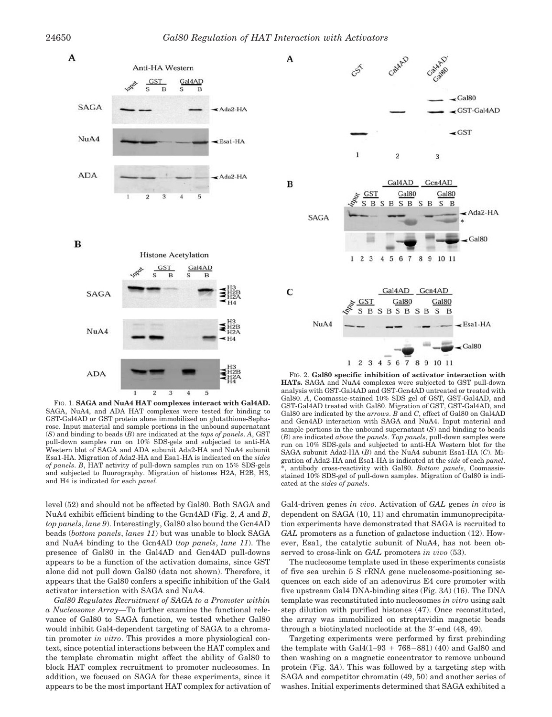

FIG. 1. **SAGA and NuA4 HAT complexes interact with Gal4AD.** SAGA, NuA4, and ADA HAT complexes were tested for binding to GST-Gal4AD or GST protein alone immobilized on glutathione-Sepharose. Input material and sample portions in the unbound supernatant (*S*) and binding to beads (*B*) are indicated at the *tops of panels*. *A*, GST pull-down samples run on 10% SDS-gels and subjected to anti-HA Western blot of SAGA and ADA subunit Ada2-HA and NuA4 subunit Esa1-HA. Migration of Ada2-HA and Esa1-HA is indicated on the *sides of panels*. *B*, HAT activity of pull-down samples run on 15% SDS-gels and subjected to fluorography. Migration of histones H2A, H2B, H3, and H4 is indicated for each *panel*.

level (52) and should not be affected by Gal80. Both SAGA and NuA4 exhibit efficient binding to the Gcn4AD (Fig. 2, *A* and *B*, *top panels*, *lane 9*). Interestingly, Gal80 also bound the Gcn4AD beads (*bottom panels*, *lanes 11*) but was unable to block SAGA and NuA4 binding to the Gcn4AD (*top panels*, *lane 11*). The presence of Gal80 in the Gal4AD and Gcn4AD pull-downs appears to be a function of the activation domains, since GST alone did not pull down Gal80 (data not shown). Therefore, it appears that the Gal80 confers a specific inhibition of the Gal4 activator interaction with SAGA and NuA4.

*Gal80 Regulates Recruitment of SAGA to a Promoter within a Nucleosome Array—*To further examine the functional relevance of Gal80 to SAGA function, we tested whether Gal80 would inhibit Gal4-dependent targeting of SAGA to a chromatin promoter *in vitro*. This provides a more physiological context, since potential interactions between the HAT complex and the template chromatin might affect the ability of Gal80 to block HAT complex recruitment to promoter nucleosomes. In addition, we focused on SAGA for these experiments, since it appears to be the most important HAT complex for activation of



FIG. 2. **Gal80 specific inhibition of activator interaction with HATs.** SAGA and NuA4 complexes were subjected to GST pull-down analysis with GST-Gal4AD and GST-Gcn4AD untreated or treated with Gal80. *A*, Coomassie-stained 10% SDS gel of GST, GST-Gal4AD, and GST-Gal4AD treated with Gal80. Migration of GST, GST-Gal4AD, and Gal80 are indicated by the *arrows*. *B* and *C*, effect of Gal80 on Gal4AD and Gcn4AD interaction with SAGA and NuA4. Input material and sample portions in the unbound supernatant (*S*) and binding to beads (*B*) are indicated *above* the *panels*. *Top panels*, pull-down samples were run on 10% SDS-gels and subjected to anti-HA Western blot for the SAGA subunit Ada2-HA (*B*) and the NuA4 subunit Esa1-HA (*C*). Migration of Ada2-HA and Esa1-HA is indicated at the *side* of each *panel*. antibody cross-reactivity with Gal80. *Bottom panels*, Coomassiestained 10% SDS-gel of pull-down samples. Migration of Gal80 is indicated at the *sides of panels*.

Gal4-driven genes *in vivo*. Activation of *GAL* genes *in vivo* is dependent on SAGA (10, 11) and chromatin immunoprecipitation experiments have demonstrated that SAGA is recruited to *GAL* promoters as a function of galactose induction (12). However, Esa1, the catalytic subunit of NuA4, has not been observed to cross-link on *GAL* promoters *in vivo* (53).

The nucleosome template used in these experiments consists of five sea urchin 5 S rRNA gene nucleosome-positioning sequences on each side of an adenovirus E4 core promoter with five upstream Gal4 DNA-binding sites (Fig. 3*A*) (16). The DNA template was reconstituted into nucleosomes *in vitro* using salt step dilution with purified histones (47). Once reconstituted, the array was immobilized on streptavidin magnetic beads through a biotinylated nucleotide at the 3-end (48, 49).

Targeting experiments were performed by first prebinding the template with  $Gal4(1-93 + 768-881)$  (40) and  $Gal80$  and then washing on a magnetic concentrator to remove unbound protein (Fig. 3*A*). This was followed by a targeting step with SAGA and competitor chromatin (49, 50) and another series of washes. Initial experiments determined that SAGA exhibited a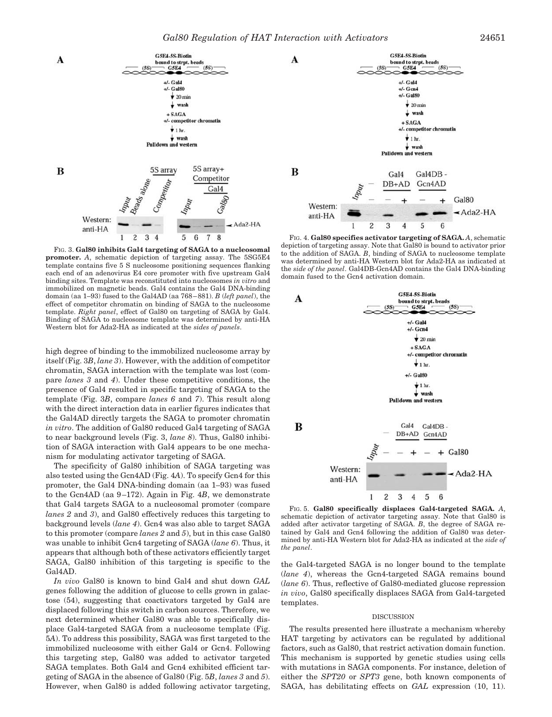

FIG. 3. **Gal80 inhibits Gal4 targeting of SAGA to a nucleosomal promoter.** *A*, schematic depiction of targeting assay. The 5SG5E4 template contains five 5 S nucleosome positioning sequences flanking each end of an adenovirus E4 core promoter with five upstream Gal4 binding sites. Template was reconstituted into nucleosomes *in vitro* and immobilized on magnetic beads. Gal4 contains the Gal4 DNA-binding domain (aa 1–93) fused to the Gal4AD (aa 768–881). *B* (*left panel*), the effect of competitor chromatin on binding of SAGA to the nucleosome template. *Right panel*, effect of Gal80 on targeting of SAGA by Gal4. Binding of SAGA to nucleosome template was determined by anti-HA Western blot for Ada2-HA as indicated at the *sides of panels*.

high degree of binding to the immobilized nucleosome array by itself (Fig. 3*B*, *lane 3*). However, with the addition of competitor chromatin, SAGA interaction with the template was lost (compare *lanes 3* and *4*). Under these competitive conditions, the presence of Gal4 resulted in specific targeting of SAGA to the template (Fig. 3*B*, compare *lanes 6* and *7*). This result along with the direct interaction data in earlier figures indicates that the Gal4AD directly targets the SAGA to promoter chromatin *in vitro*. The addition of Gal80 reduced Gal4 targeting of SAGA to near background levels (Fig. 3, *lane 8*). Thus, Gal80 inhibition of SAGA interaction with Gal4 appears to be one mechanism for modulating activator targeting of SAGA.

The specificity of Gal80 inhibition of SAGA targeting was also tested using the Gcn4AD (Fig. 4*A*). To specify Gcn4 for this promoter, the Gal4 DNA-binding domain (aa 1–93) was fused to the Gcn4AD (aa 9–172). Again in Fig. 4*B*, we demonstrate that Gal4 targets SAGA to a nucleosomal promoter (compare *lanes 2* and *3*), and Gal80 effectively reduces this targeting to background levels (*lane 4*). Gcn4 was also able to target SAGA to this promoter (compare *lanes 2* and *5*), but in this case Gal80 was unable to inhibit Gcn4 targeting of SAGA (*lane 6*). Thus, it appears that although both of these activators efficiently target SAGA, Gal80 inhibition of this targeting is specific to the Gal4AD.

*In vivo* Gal80 is known to bind Gal4 and shut down *GAL* genes following the addition of glucose to cells grown in galactose (54), suggesting that coactivators targeted by Gal4 are displaced following this switch in carbon sources. Therefore, we next determined whether Gal80 was able to specifically displace Gal4-targeted SAGA from a nucleosome template (Fig. 5*A*). To address this possibility, SAGA was first targeted to the immobilized nucleosome with either Gal4 or Gcn4. Following this targeting step, Gal80 was added to activator targeted SAGA templates. Both Gal4 and Gcn4 exhibited efficient targeting of SAGA in the absence of Gal80 (Fig. 5*B*, *lanes 3* and *5*). However, when Gal80 is added following activator targeting,



FIG. 4. **Gal80 specifies activator targeting of SAGA.** *A*, schematic depiction of targeting assay. Note that Gal80 is bound to activator prior to the addition of SAGA. *B*, binding of SAGA to nucleosome template was determined by anti-HA Western blot for Ada2-HA as indicated at the *side of the panel*. Gal4DB-Gcn4AD contains the Gal4 DNA-binding domain fused to the Gcn4 activation domain.



FIG. 5. **Gal80 specifically displaces Gal4-targeted SAGA.** *A*, schematic depiction of activator targeting assay. Note that Gal80 is added after activator targeting of SAGA. *B*, the degree of SAGA retained by Gal4 and Gcn4 following the addition of Gal80 was determined by anti-HA Western blot for Ada2-HA as indicated at the *side of the panel*.

the Gal4-targeted SAGA is no longer bound to the template (*lane 4*), whereas the Gcn4-targeted SAGA remains bound (*lane 6*). Thus, reflective of Gal80-mediated glucose repression *in vivo*, Gal80 specifically displaces SAGA from Gal4-targeted templates.

#### DISCUSSION

The results presented here illustrate a mechanism whereby HAT targeting by activators can be regulated by additional factors, such as Gal80, that restrict activation domain function. This mechanism is supported by genetic studies using cells with mutations in SAGA components. For instance, deletion of either the *SPT20* or *SPT3* gene, both known components of SAGA, has debilitating effects on *GAL* expression (10, 11).